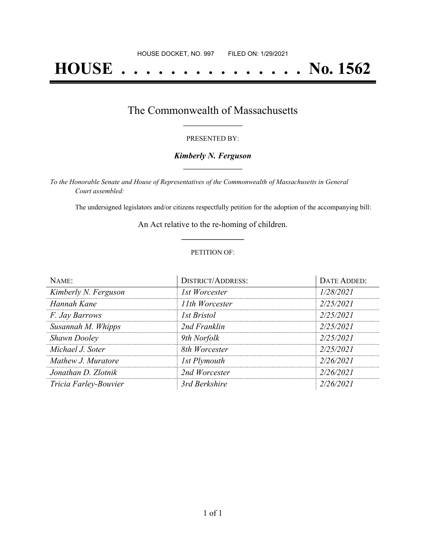# **HOUSE . . . . . . . . . . . . . . . No. 1562**

### The Commonwealth of Massachusetts **\_\_\_\_\_\_\_\_\_\_\_\_\_\_\_\_\_**

#### PRESENTED BY:

#### *Kimberly N. Ferguson* **\_\_\_\_\_\_\_\_\_\_\_\_\_\_\_\_\_**

*To the Honorable Senate and House of Representatives of the Commonwealth of Massachusetts in General Court assembled:*

The undersigned legislators and/or citizens respectfully petition for the adoption of the accompanying bill:

An Act relative to the re-homing of children. **\_\_\_\_\_\_\_\_\_\_\_\_\_\_\_**

#### PETITION OF:

| NAME:                 | <b>DISTRICT/ADDRESS:</b> | DATE ADDED: |
|-----------------------|--------------------------|-------------|
| Kimberly N. Ferguson  | 1st Worcester            | 1/28/2021   |
| Hannah Kane           | 11th Worcester           | 2/25/2021   |
| <i>F. Jay Barrows</i> | <b>1st Bristol</b>       | 2/25/2021   |
| Susannah M. Whipps    | 2nd Franklin             | 2/25/2021   |
| <b>Shawn Dooley</b>   | 9th Norfolk              | 2/25/2021   |
| Michael J. Soter      | 8th Worcester            | 2/25/2021   |
| Mathew J. Muratore    | 1st Plymouth             | 2/26/2021   |
| Jonathan D. Zlotnik   | 2nd Worcester            | 2/26/2021   |
| Tricia Farley-Bouvier | 3rd Berkshire            | 2/26/2021   |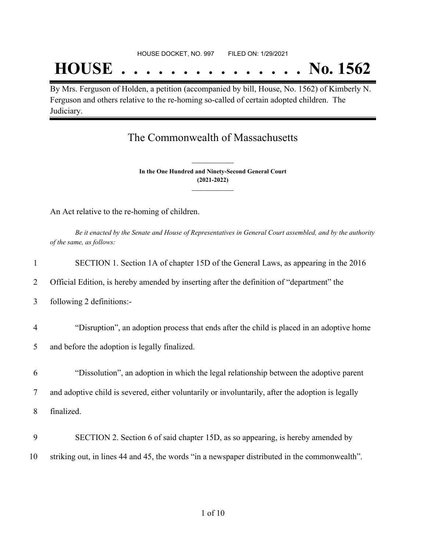## **HOUSE . . . . . . . . . . . . . . . No. 1562**

By Mrs. Ferguson of Holden, a petition (accompanied by bill, House, No. 1562) of Kimberly N. Ferguson and others relative to the re-homing so-called of certain adopted children. The Judiciary.

## The Commonwealth of Massachusetts

**In the One Hundred and Ninety-Second General Court (2021-2022) \_\_\_\_\_\_\_\_\_\_\_\_\_\_\_**

**\_\_\_\_\_\_\_\_\_\_\_\_\_\_\_**

An Act relative to the re-homing of children.

Be it enacted by the Senate and House of Representatives in General Court assembled, and by the authority *of the same, as follows:*

| 1              | SECTION 1. Section 1A of chapter 15D of the General Laws, as appearing in the 2016                |
|----------------|---------------------------------------------------------------------------------------------------|
| 2              | Official Edition, is hereby amended by inserting after the definition of "department" the         |
| 3              | following 2 definitions:-                                                                         |
| $\overline{4}$ | "Disruption", an adoption process that ends after the child is placed in an adoptive home         |
| 5              | and before the adoption is legally finalized.                                                     |
|                |                                                                                                   |
| 6              | "Dissolution", an adoption in which the legal relationship between the adoptive parent            |
| 7              | and adoptive child is severed, either voluntarily or involuntarily, after the adoption is legally |
| 8              | finalized.                                                                                        |
|                |                                                                                                   |
| 9              | SECTION 2. Section 6 of said chapter 15D, as so appearing, is hereby amended by                   |
| 10             | striking out, in lines 44 and 45, the words "in a newspaper distributed in the commonwealth".     |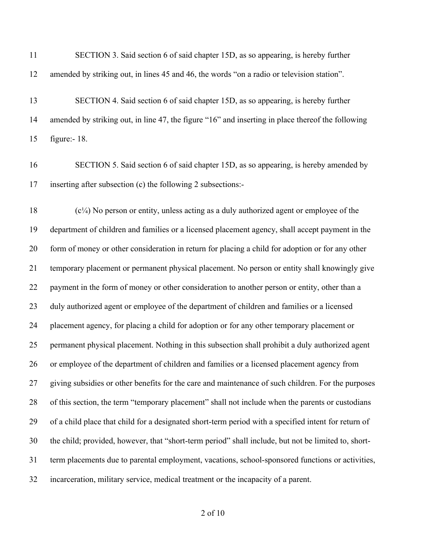| 11 | SECTION 3. Said section 6 of said chapter 15D, as so appearing, is hereby further                    |
|----|------------------------------------------------------------------------------------------------------|
| 12 | amended by striking out, in lines 45 and 46, the words "on a radio or television station".           |
| 13 | SECTION 4. Said section 6 of said chapter 15D, as so appearing, is hereby further                    |
| 14 | amended by striking out, in line 47, the figure "16" and inserting in place thereof the following    |
| 15 | figure: $-18$ .                                                                                      |
| 16 | SECTION 5. Said section 6 of said chapter 15D, as so appearing, is hereby amended by                 |
| 17 | inserting after subsection (c) the following 2 subsections:-                                         |
| 18 | $(c1/4)$ No person or entity, unless acting as a duly authorized agent or employee of the            |
| 19 | department of children and families or a licensed placement agency, shall accept payment in the      |
| 20 | form of money or other consideration in return for placing a child for adoption or for any other     |
| 21 | temporary placement or permanent physical placement. No person or entity shall knowingly give        |
| 22 | payment in the form of money or other consideration to another person or entity, other than a        |
| 23 | duly authorized agent or employee of the department of children and families or a licensed           |
| 24 | placement agency, for placing a child for adoption or for any other temporary placement or           |
| 25 | permanent physical placement. Nothing in this subsection shall prohibit a duly authorized agent      |
| 26 | or employee of the department of children and families or a licensed placement agency from           |
| 27 | giving subsidies or other benefits for the care and maintenance of such children. For the purposes   |
| 28 | of this section, the term "temporary placement" shall not include when the parents or custodians     |
| 29 | of a child place that child for a designated short-term period with a specified intent for return of |
| 30 | the child; provided, however, that "short-term period" shall include, but not be limited to, short-  |
| 31 | term placements due to parental employment, vacations, school-sponsored functions or activities,     |
| 32 | incarceration, military service, medical treatment or the incapacity of a parent.                    |

#### of 10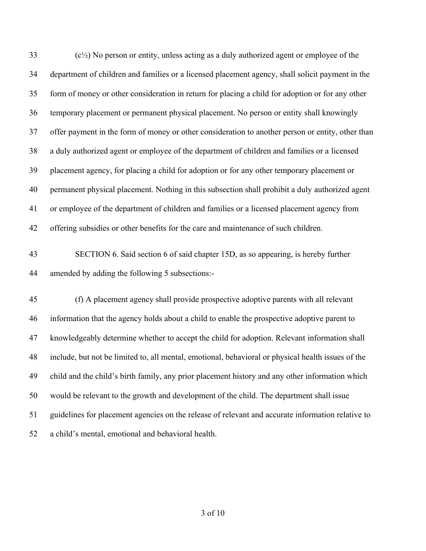(c<sup>1</sup> $/$ ) No person or entity, unless acting as a duly authorized agent or employee of the department of children and families or a licensed placement agency, shall solicit payment in the form of money or other consideration in return for placing a child for adoption or for any other temporary placement or permanent physical placement. No person or entity shall knowingly offer payment in the form of money or other consideration to another person or entity, other than a duly authorized agent or employee of the department of children and families or a licensed placement agency, for placing a child for adoption or for any other temporary placement or permanent physical placement. Nothing in this subsection shall prohibit a duly authorized agent or employee of the department of children and families or a licensed placement agency from offering subsidies or other benefits for the care and maintenance of such children.

## SECTION 6. Said section 6 of said chapter 15D, as so appearing, is hereby further amended by adding the following 5 subsections:-

 (f) A placement agency shall provide prospective adoptive parents with all relevant information that the agency holds about a child to enable the prospective adoptive parent to knowledgeably determine whether to accept the child for adoption. Relevant information shall include, but not be limited to, all mental, emotional, behavioral or physical health issues of the child and the child's birth family, any prior placement history and any other information which would be relevant to the growth and development of the child. The department shall issue guidelines for placement agencies on the release of relevant and accurate information relative to a child's mental, emotional and behavioral health.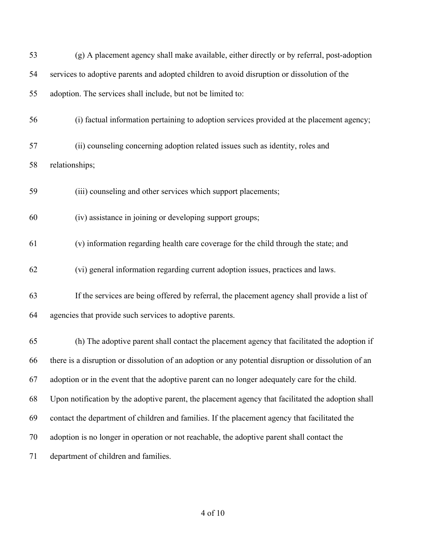| 53 | (g) A placement agency shall make available, either directly or by referral, post-adoption           |
|----|------------------------------------------------------------------------------------------------------|
| 54 | services to adoptive parents and adopted children to avoid disruption or dissolution of the          |
| 55 | adoption. The services shall include, but not be limited to:                                         |
| 56 | (i) factual information pertaining to adoption services provided at the placement agency;            |
| 57 | (ii) counseling concerning adoption related issues such as identity, roles and                       |
| 58 | relationships;                                                                                       |
| 59 | (iii) counseling and other services which support placements;                                        |
| 60 | (iv) assistance in joining or developing support groups;                                             |
| 61 | (v) information regarding health care coverage for the child through the state; and                  |
| 62 | (vi) general information regarding current adoption issues, practices and laws.                      |
| 63 | If the services are being offered by referral, the placement agency shall provide a list of          |
| 64 | agencies that provide such services to adoptive parents.                                             |
| 65 | (h) The adoptive parent shall contact the placement agency that facilitated the adoption if          |
| 66 | there is a disruption or dissolution of an adoption or any potential disruption or dissolution of an |
| 67 | adoption or in the event that the adoptive parent can no longer adequately care for the child.       |
| 68 | Upon notification by the adoptive parent, the placement agency that facilitated the adoption shall   |
| 69 | contact the department of children and families. If the placement agency that facilitated the        |
| 70 | adoption is no longer in operation or not reachable, the adoptive parent shall contact the           |
| 71 | department of children and families.                                                                 |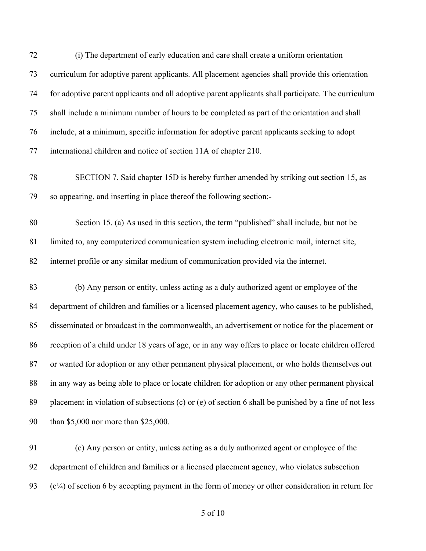| 72 | (i) The department of early education and care shall create a uniform orientation                     |
|----|-------------------------------------------------------------------------------------------------------|
| 73 | curriculum for adoptive parent applicants. All placement agencies shall provide this orientation      |
| 74 | for adoptive parent applicants and all adoptive parent applicants shall participate. The curriculum   |
| 75 | shall include a minimum number of hours to be completed as part of the orientation and shall          |
| 76 | include, at a minimum, specific information for adoptive parent applicants seeking to adopt           |
| 77 | international children and notice of section 11A of chapter 210.                                      |
| 78 | SECTION 7. Said chapter 15D is hereby further amended by striking out section 15, as                  |
| 79 | so appearing, and inserting in place thereof the following section:-                                  |
| 80 | Section 15. (a) As used in this section, the term "published" shall include, but not be               |
| 81 | limited to, any computerized communication system including electronic mail, internet site,           |
| 82 | internet profile or any similar medium of communication provided via the internet.                    |
| 83 | (b) Any person or entity, unless acting as a duly authorized agent or employee of the                 |
| 84 | department of children and families or a licensed placement agency, who causes to be published,       |
| 85 | disseminated or broadcast in the commonwealth, an advertisement or notice for the placement or        |
| 86 | reception of a child under 18 years of age, or in any way offers to place or locate children offered  |
| 87 | or wanted for adoption or any other permanent physical placement, or who holds themselves out         |
| 88 | in any way as being able to place or locate children for adoption or any other permanent physical     |
| 89 | placement in violation of subsections (c) or (e) of section 6 shall be punished by a fine of not less |
| 90 | than \$5,000 nor more than \$25,000.                                                                  |
| 91 | (c) Any person or entity, unless acting as a duly authorized agent or employee of the                 |
| 92 | department of children and families or a licensed placement agency, who violates subsection           |

93 (c¼) of section 6 by accepting payment in the form of money or other consideration in return for

of 10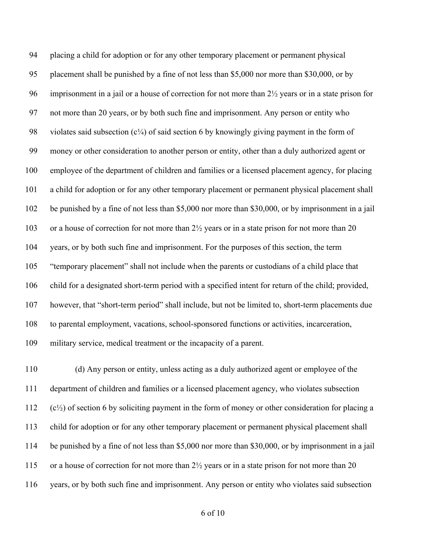placing a child for adoption or for any other temporary placement or permanent physical placement shall be punished by a fine of not less than \$5,000 nor more than \$30,000, or by imprisonment in a jail or a house of correction for not more than 2½ years or in a state prison for not more than 20 years, or by both such fine and imprisonment. Any person or entity who 98 violates said subsection  $(c<sup>1</sup>/<sub>4</sub>)$  of said section 6 by knowingly giving payment in the form of money or other consideration to another person or entity, other than a duly authorized agent or employee of the department of children and families or a licensed placement agency, for placing a child for adoption or for any other temporary placement or permanent physical placement shall be punished by a fine of not less than \$5,000 nor more than \$30,000, or by imprisonment in a jail 103 or a house of correction for not more than 2<sup>1/2</sup> years or in a state prison for not more than 20 years, or by both such fine and imprisonment. For the purposes of this section, the term "temporary placement" shall not include when the parents or custodians of a child place that child for a designated short-term period with a specified intent for return of the child; provided, however, that "short-term period" shall include, but not be limited to, short-term placements due to parental employment, vacations, school-sponsored functions or activities, incarceration, military service, medical treatment or the incapacity of a parent.

 (d) Any person or entity, unless acting as a duly authorized agent or employee of the department of children and families or a licensed placement agency, who violates subsection (c<sup>1</sup>/<sub>2</sub>) of section 6 by soliciting payment in the form of money or other consideration for placing a child for adoption or for any other temporary placement or permanent physical placement shall be punished by a fine of not less than \$5,000 nor more than \$30,000, or by imprisonment in a jail 115 or a house of correction for not more than 2<sup>1/2</sup> years or in a state prison for not more than 20 years, or by both such fine and imprisonment. Any person or entity who violates said subsection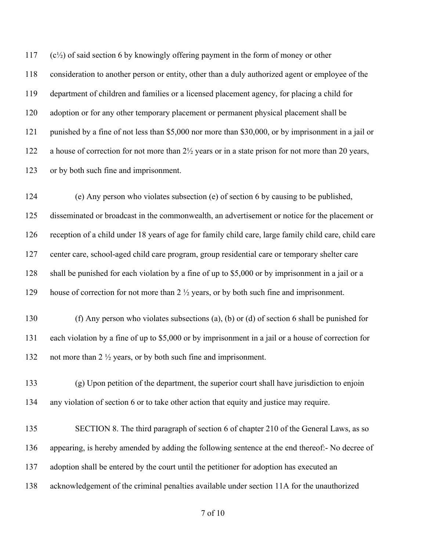(c½) of said section 6 by knowingly offering payment in the form of money or other consideration to another person or entity, other than a duly authorized agent or employee of the department of children and families or a licensed placement agency, for placing a child for adoption or for any other temporary placement or permanent physical placement shall be punished by a fine of not less than \$5,000 nor more than \$30,000, or by imprisonment in a jail or a house of correction for not more than 2½ years or in a state prison for not more than 20 years, or by both such fine and imprisonment.

 (e) Any person who violates subsection (e) of section 6 by causing to be published, disseminated or broadcast in the commonwealth, an advertisement or notice for the placement or reception of a child under 18 years of age for family child care, large family child care, child care center care, school-aged child care program, group residential care or temporary shelter care shall be punished for each violation by a fine of up to \$5,000 or by imprisonment in a jail or a house of correction for not more than 2 ½ years, or by both such fine and imprisonment.

 (f) Any person who violates subsections (a), (b) or (d) of section 6 shall be punished for each violation by a fine of up to \$5,000 or by imprisonment in a jail or a house of correction for not more than 2 ½ years, or by both such fine and imprisonment.

 (g) Upon petition of the department, the superior court shall have jurisdiction to enjoin any violation of section 6 or to take other action that equity and justice may require.

 SECTION 8. The third paragraph of section 6 of chapter 210 of the General Laws, as so appearing, is hereby amended by adding the following sentence at the end thereof:- No decree of adoption shall be entered by the court until the petitioner for adoption has executed an acknowledgement of the criminal penalties available under section 11A for the unauthorized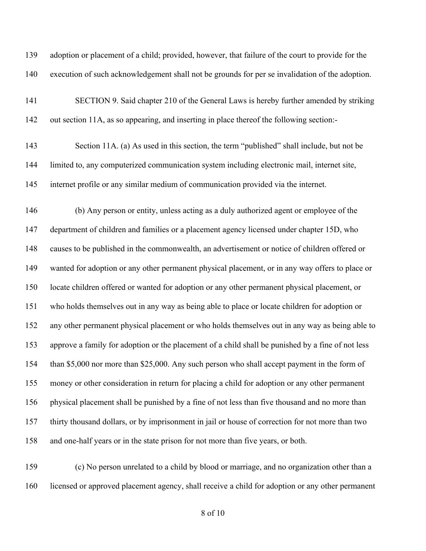adoption or placement of a child; provided, however, that failure of the court to provide for the execution of such acknowledgement shall not be grounds for per se invalidation of the adoption.

 SECTION 9. Said chapter 210 of the General Laws is hereby further amended by striking out section 11A, as so appearing, and inserting in place thereof the following section:-

 Section 11A. (a) As used in this section, the term "published" shall include, but not be limited to, any computerized communication system including electronic mail, internet site, internet profile or any similar medium of communication provided via the internet.

 (b) Any person or entity, unless acting as a duly authorized agent or employee of the department of children and families or a placement agency licensed under chapter 15D, who causes to be published in the commonwealth, an advertisement or notice of children offered or wanted for adoption or any other permanent physical placement, or in any way offers to place or locate children offered or wanted for adoption or any other permanent physical placement, or who holds themselves out in any way as being able to place or locate children for adoption or any other permanent physical placement or who holds themselves out in any way as being able to approve a family for adoption or the placement of a child shall be punished by a fine of not less than \$5,000 nor more than \$25,000. Any such person who shall accept payment in the form of money or other consideration in return for placing a child for adoption or any other permanent physical placement shall be punished by a fine of not less than five thousand and no more than thirty thousand dollars, or by imprisonment in jail or house of correction for not more than two and one-half years or in the state prison for not more than five years, or both.

 (c) No person unrelated to a child by blood or marriage, and no organization other than a licensed or approved placement agency, shall receive a child for adoption or any other permanent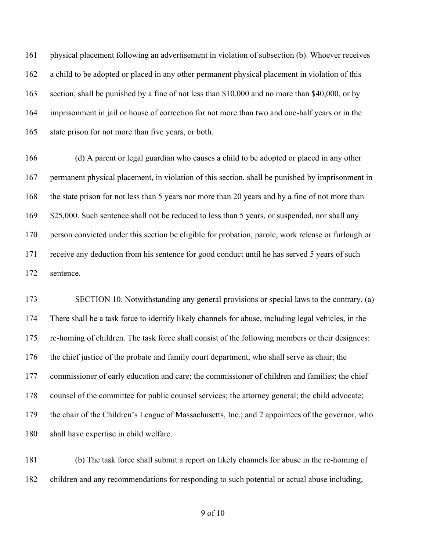physical placement following an advertisement in violation of subsection (b). Whoever receives a child to be adopted or placed in any other permanent physical placement in violation of this section, shall be punished by a fine of not less than \$10,000 and no more than \$40,000, or by imprisonment in jail or house of correction for not more than two and one-half years or in the state prison for not more than five years, or both.

 (d) A parent or legal guardian who causes a child to be adopted or placed in any other permanent physical placement, in violation of this section, shall be punished by imprisonment in the state prison for not less than 5 years nor more than 20 years and by a fine of not more than 169 \$25,000. Such sentence shall not be reduced to less than 5 years, or suspended, nor shall any person convicted under this section be eligible for probation, parole, work release or furlough or receive any deduction from his sentence for good conduct until he has served 5 years of such sentence.

 SECTION 10. Notwithstanding any general provisions or special laws to the contrary, (a) There shall be a task force to identify likely channels for abuse, including legal vehicles, in the re-homing of children. The task force shall consist of the following members or their designees: the chief justice of the probate and family court department, who shall serve as chair; the commissioner of early education and care; the commissioner of children and families; the chief counsel of the committee for public counsel services; the attorney general; the child advocate; the chair of the Children's League of Massachusetts, Inc.; and 2 appointees of the governor, who shall have expertise in child welfare.

 (b) The task force shall submit a report on likely channels for abuse in the re-homing of children and any recommendations for responding to such potential or actual abuse including,

of 10